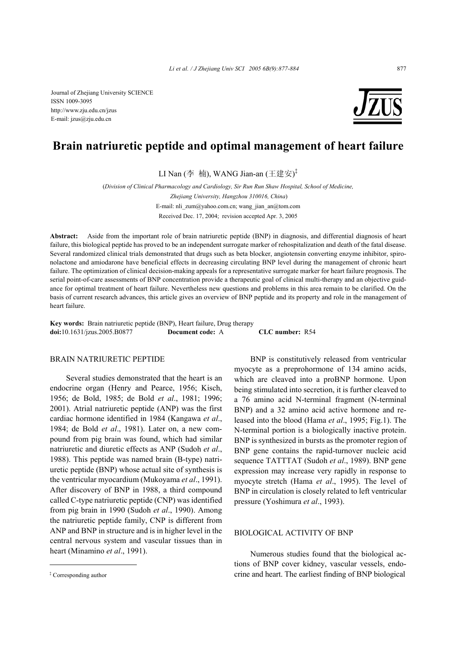Journal of Zhejiang University SCIENCE ISSN 1009-3095 http://www.zju.edu.cn/jzus E-mail: jzus@zju.edu.cn



# **Brain natriuretic peptide and optimal management of heart failure**

LI Nan (李 楠), WANG Jian-an (王建安)<sup>‡</sup>

(*Division of Clinical Pharmacology and Cardiology, Sir Run Run Shaw Hospital, School of Medicine, Zhejiang University, Hangzhou 310016, China*) E-mail: nli\_zum@yahoo.com.cn; wang\_jian\_an@tom.com Received Dec. 17, 2004; revision accepted Apr. 3, 2005

**Abstract:** Aside from the important role of brain natriuretic peptide (BNP) in diagnosis, and differential diagnosis of heart failure, this biological peptide has proved to be an independent surrogate marker of rehospitalization and death of the fatal disease. Several randomized clinical trials demonstrated that drugs such as beta blocker, angiotensin converting enzyme inhibitor, spironolactone and amiodarone have beneficial effects in decreasing circulating BNP level during the management of chronic heart failure. The optimization of clinical decision-making appeals for a representative surrogate marker for heart failure prognosis. The serial point-of-care assessments of BNP concentration provide a therapeutic goal of clinical multi-therapy and an objective guidance for optimal treatment of heart failure. Nevertheless new questions and problems in this area remain to be clarified. On the basis of current research advances, this article gives an overview of BNP peptide and its property and role in the management of heart failure.

**Key words:** Brain natriuretic peptide (BNP), Heart failure, Drug therapy **doi:**10.1631/jzus.2005.B0877 **Document code:** A **CLC number:** R54

#### BRAIN NATRIURETIC PEPTIDE

Several studies demonstrated that the heart is an endocrine organ (Henry and Pearce, 1956; Kisch, 1956; de Bold, 1985; de Bold *et al*., 1981; 1996; 2001). Atrial natriuretic peptide (ANP) was the first cardiac hormone identified in 1984 (Kangawa *et al*., 1984; de Bold *et al*., 1981). Later on, a new compound from pig brain was found, which had similar natriuretic and diuretic effects as ANP (Sudoh *et al*., 1988). This peptide was named brain (B-type) natriuretic peptide (BNP) whose actual site of synthesis is the ventricular myocardium (Mukoyama *et al*., 1991). After discovery of BNP in 1988, a third compound called C-type natriuretic peptide (CNP) was identified from pig brain in 1990 (Sudoh *et al*., 1990). Among the natriuretic peptide family, CNP is different from ANP and BNP in structure and is in higher level in the central nervous system and vascular tissues than in heart (Minamino *et al*., 1991).

#### BIOLOGICAL ACTIVITY OF BNP

Numerous studies found that the biological actions of BNP cover kidney, vascular vessels, endocrine and heart. The earliest finding of BNP biological

BNP is constitutively released from ventricular myocyte as a preprohormone of 134 amino acids, which are cleaved into a proBNP hormone. Upon being stimulated into secretion, it is further cleaved to a 76 amino acid N-terminal fragment (N-terminal BNP) and a 32 amino acid active hormone and released into the blood (Hama *et al*., 1995; Fig.1). The N-terminal portion is a biologically inactive protein. BNP is synthesized in bursts as the promoter region of BNP gene contains the rapid-turnover nucleic acid sequence TATTTAT (Sudoh *et al*., 1989). BNP gene expression may increase very rapidly in response to myocyte stretch (Hama *et al*., 1995). The level of BNP in circulation is closely related to left ventricular pressure (Yoshimura *et al*., 1993).

<sup>‡</sup> Corresponding author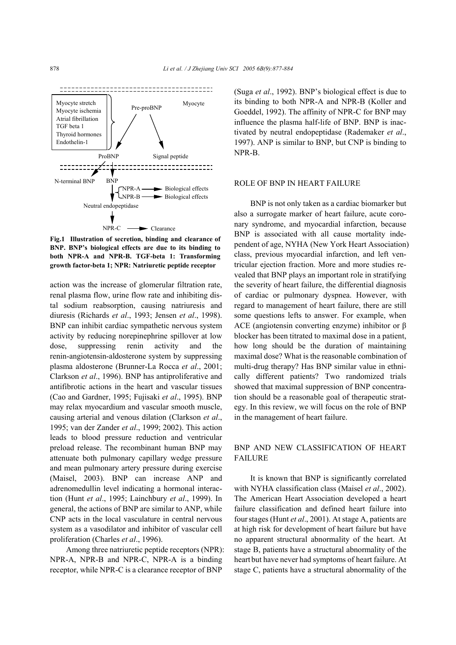

**Fig.1 Illustration of secretion, binding and clearance of BNP. BNP's biological effects are due to its binding to both NPR-A and NPR-B. TGF-beta 1: Transforming growth factor-beta 1; NPR: Natriuretic peptide receptor**

action was the increase of glomerular filtration rate, renal plasma flow, urine flow rate and inhibiting distal sodium reabsorption, causing natriuresis and diuresis (Richards *et al*., 1993; Jensen *et al*., 1998). BNP can inhibit cardiac sympathetic nervous system activity by reducing norepinephrine spillover at low dose, suppressing renin activity and the renin-angiotensin-aldosterone system by suppressing plasma aldosterone (Brunner-La Rocca *et al*., 2001; Clarkson *et al*., 1996). BNP has antiproliferative and antifibrotic actions in the heart and vascular tissues (Cao and Gardner, 1995; Fujisaki *et al*., 1995). BNP may relax myocardium and vascular smooth muscle, causing arterial and venous dilation (Clarkson *et al*., 1995; van der Zander *et al*., 1999; 2002). This action leads to blood pressure reduction and ventricular preload release. The recombinant human BNP may attenuate both pulmonary capillary wedge pressure and mean pulmonary artery pressure during exercise (Maisel, 2003). BNP can increase ANP and adrenomedullin level indicating a hormonal interaction (Hunt *et al*., 1995; Lainchbury *et al*., 1999). In general, the actions of BNP are similar to ANP, while CNP acts in the local vasculature in central nervous system as a vasodilator and inhibitor of vascular cell proliferation (Charles *et al*., 1996).

Among three natriuretic peptide receptors (NPR): NPR-A, NPR-B and NPR-C, NPR-A is a binding receptor, while NPR-C is a clearance receptor of BNP

(Suga *et al*., 1992). BNP's biological effect is due to its binding to both NPR-A and NPR-B (Koller and Goeddel, 1992). The affinity of NPR-C for BNP may influence the plasma half-life of BNP. BNP is inactivated by neutral endopeptidase (Rademaker *et al*., 1997). ANP is similar to BNP, but CNP is binding to NPR-B.

#### ROLE OF BNP IN HEART FAILURE

BNP is not only taken as a cardiac biomarker but also a surrogate marker of heart failure, acute coronary syndrome, and myocardial infarction, because BNP is associated with all cause mortality independent of age, NYHA (New York Heart Association) class, previous myocardial infarction, and left ventricular ejection fraction. More and more studies revealed that BNP plays an important role in stratifying the severity of heart failure, the differential diagnosis of cardiac or pulmonary dyspnea. However, with regard to management of heart failure, there are still some questions lefts to answer. For example, when ACE (angiotensin converting enzyme) inhibitor or β blocker has been titrated to maximal dose in a patient, how long should be the duration of maintaining maximal dose? What is the reasonable combination of multi-drug therapy? Has BNP similar value in ethnically different patients? Two randomized trials showed that maximal suppression of BNP concentration should be a reasonable goal of therapeutic strategy. In this review, we will focus on the role of BNP in the management of heart failure.

## BNP AND NEW CLASSIFICATION OF HEART FAILURE

It is known that BNP is significantly correlated with NYHA classification class (Maisel *et al*., 2002). The American Heart Association developed a heart failure classification and defined heart failure into fourstages (Hunt *et al*., 2001). At stage A, patients are at high risk for development of heart failure but have no apparent structural abnormality of the heart. At stage B, patients have a structural abnormality of the heart but have never had symptoms of heart failure. At stage C, patients have a structural abnormality of the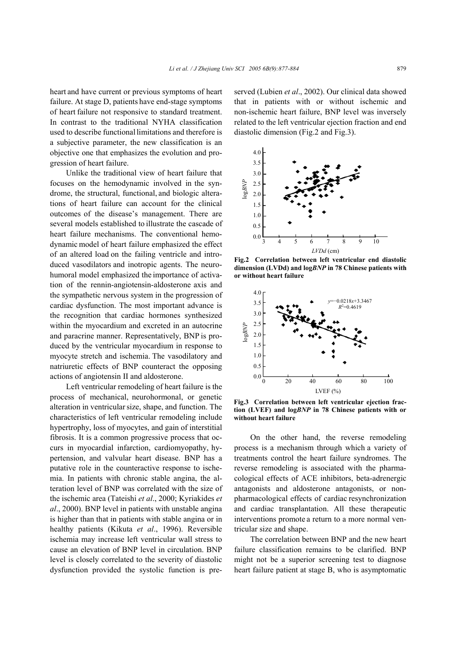heart and have current or previous symptoms of heart failure. At stage D, patients have end-stage symptoms of heart failure not responsive to standard treatment. In contrast to the traditional NYHA classification used to describe functional limitations and therefore is a subjective parameter, the new classification is an objective one that emphasizes the evolution and progression of heart failure.

Unlike the traditional view of heart failure that focuses on the hemodynamic involved in the syndrome, the structural, functional, and biologic alterations of heart failure can account for the clinical outcomes of the disease's management. There are several models established to illustrate the cascade of heart failure mechanisms. The conventional hemodynamic model of heart failure emphasized the effect of an altered load on the failing ventricle and introduced vasodilators and inotropic agents. The neurohumoral model emphasized the importance of activation of the rennin-angiotensin-aldosterone axis and the sympathetic nervous system in the progression of cardiac dysfunction. The most important advance is the recognition that cardiac hormones synthesized within the myocardium and excreted in an autocrine and paracrine manner. Representatively, BNP is produced by the ventricular myocardium in response to myocyte stretch and ischemia. The vasodilatory and natriuretic effects of BNP counteract the opposing actions of angiotensin II and aldosterone.

Left ventricular remodeling of heart failure is the process of mechanical, neurohormonal, or genetic alteration in ventricularsize, shape, and function. The characteristics of left ventricular remodeling include hypertrophy, loss of myocytes, and gain of interstitial fibrosis. It is a common progressive process that occurs in myocardial infarction, cardiomyopathy, hypertension, and valvular heart disease. BNP has a putative role in the counteractive response to ischemia. In patients with chronic stable angina, the alteration level of BNP was correlated with the size of the ischemic area (Tateishi *et al*., 2000; Kyriakides *et al*., 2000). BNP level in patients with unstable angina is higher than that in patients with stable angina or in healthy patients (Kikuta *et al*., 1996). Reversible ischemia may increase left ventricular wall stress to cause an elevation of BNP level in circulation. BNP level is closely correlated to the severity of diastolic dysfunction provided the systolic function is preserved (Lubien *et al*., 2002). Our clinical data showed that in patients with or without ischemic and non-ischemic heart failure, BNP level was inversely related to the left ventricular ejection fraction and end diastolic dimension (Fig.2 and Fig.3).



**Fig.2 Correlation between left ventricular end diastolic dimension (LVDd) and log***BNP* **in 78 Chinese patients with or without heart failure** 



**Fig.3 Correlation between left ventricular ejection fraction (LVEF) and log***BNP* **in 78 Chinese patients with or without heart failure**

On the other hand, the reverse remodeling process is a mechanism through which a variety of treatments control the heart failure syndromes. The reverse remodeling is associated with the pharmacological effects of ACE inhibitors, beta-adrenergic antagonists and aldosterone antagonists, or nonpharmacological effects of cardiac resynchronization and cardiac transplantation. All these therapeutic interventions promote a return to a more normal ventricular size and shape.

The correlation between BNP and the new heart failure classification remains to be clarified. BNP might not be a superior screening test to diagnose heart failure patient at stage B, who is asymptomatic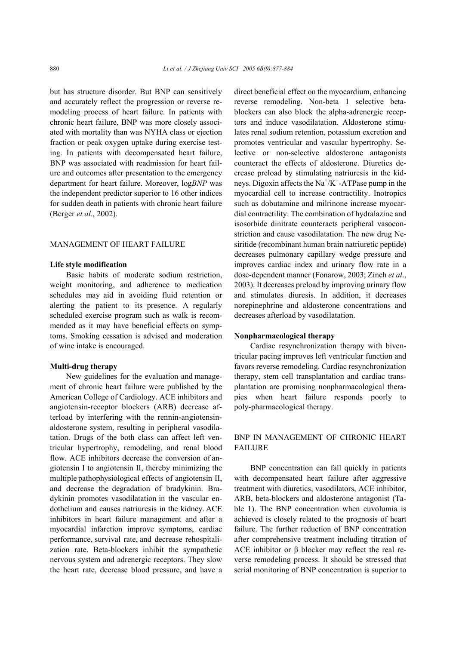but has structure disorder. But BNP can sensitively and accurately reflect the progression or reverse remodeling process of heart failure. In patients with chronic heart failure, BNP was more closely associated with mortality than was NYHA class or ejection fraction or peak oxygen uptake during exercise testing. In patients with decompensated heart failure, BNP was associated with readmission for heart failure and outcomes after presentation to the emergency department for heart failure. Moreover, log*BNP* was the independent predictor superior to 16 other indices for sudden death in patients with chronic heart failure (Berger *et al*., 2002).

#### MANAGEMENT OF HEART FAILURE

#### **Life style modification**

Basic habits of moderate sodium restriction, weight monitoring, and adherence to medication schedules may aid in avoiding fluid retention or alerting the patient to its presence. A regularly scheduled exercise program such as walk is recommended as it may have beneficial effects on symptoms. Smoking cessation is advised and moderation of wine intake is encouraged.

#### **Multi-drug therapy**

New guidelines for the evaluation and management of chronic heart failure were published by the American College of Cardiology. ACE inhibitors and angiotensin-receptor blockers (ARB) decrease afterload by interfering with the rennin-angiotensinaldosterone system, resulting in peripheral vasodilatation. Drugs of the both class can affect left ventricular hypertrophy, remodeling, and renal blood flow. ACE inhibitors decrease the conversion of angiotensin I to angiotensin II, thereby minimizing the multiple pathophysiological effects of angiotensin II, and decrease the degradation of bradykinin. Bradykinin promotes vasodilatation in the vascular endothelium and causes natriuresis in the kidney. ACE inhibitors in heart failure management and after a myocardial infarction improve symptoms, cardiac performance, survival rate, and decrease rehospitalization rate. Beta-blockers inhibit the sympathetic nervous system and adrenergic receptors. They slow the heart rate, decrease blood pressure, and have a

direct beneficial effect on the myocardium, enhancing reverse remodeling. Non-beta 1 selective betablockers can also block the alpha-adrenergic receptors and induce vasodilatation. Aldosterone stimulates renal sodium retention, potassium excretion and promotes ventricular and vascular hypertrophy. Selective or non-selective aldosterone antagonists counteract the effects of aldosterone. Diuretics decrease preload by stimulating natriuresis in the kidneys. Digoxin affects the  $\text{Na}^+\text{/K}^+$ -ATPase pump in the myocardial cell to increase contractility. Inotropics such as dobutamine and milrinone increase myocardial contractility. The combination of hydralazine and isosorbide dinitrate counteracts peripheral vasoconstriction and cause vasodilatation. The new drug Nesiritide (recombinant human brain natriuretic peptide) decreases pulmonary capillary wedge pressure and improves cardiac index and urinary flow rate in a dose-dependent manner (Fonarow, 2003; Zineh *et al*., 2003). It decreases preload by improving urinary flow and stimulates diuresis. In addition, it decreases norepinephrine and aldosterone concentrations and decreases afterload by vasodilatation.

#### **Nonpharmacological therapy**

Cardiac resynchronization therapy with biventricular pacing improves left ventricular function and favors reverse remodeling. Cardiac resynchronization therapy, stem cell transplantation and cardiac transplantation are promising nonpharmacological therapies when heart failure responds poorly to poly-pharmacological therapy.

## BNP IN MANAGEMENT OF CHRONIC HEART FAILURE

BNP concentration can fall quickly in patients with decompensated heart failure after aggressive treatment with diuretics, vasodilators, ACE inhibitor, ARB, beta-blockers and aldosterone antagonist (Table 1). The BNP concentration when euvolumia is achieved is closely related to the prognosis of heart failure. The further reduction of BNP concentration after comprehensive treatment including titration of ACE inhibitor or β blocker may reflect the real reverse remodeling process. It should be stressed that serial monitoring of BNP concentration is superior to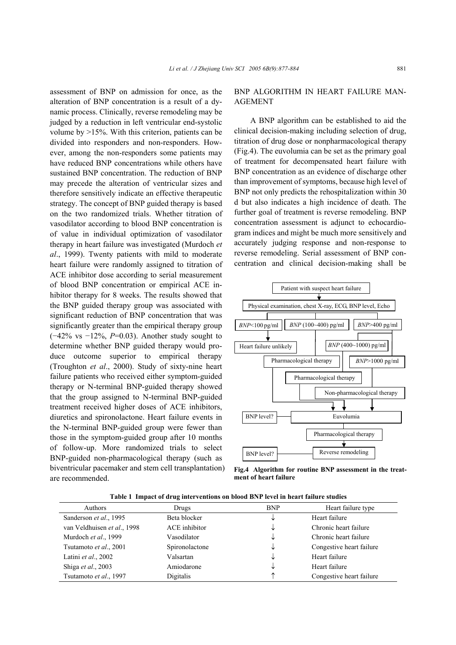assessment of BNP on admission for once, as the alteration of BNP concentration is a result of a dynamic process. Clinically, reverse remodeling may be judged by a reduction in left ventricular end-systolic volume by >15%. With this criterion, patients can be divided into responders and non-responders. However, among the non-responders some patients may have reduced BNP concentrations while others have sustained BNP concentration. The reduction of BNP may precede the alteration of ventricular sizes and therefore sensitively indicate an effective therapeutic strategy. The concept of BNP guided therapy is based on the two randomized trials. Whether titration of vasodilator according to blood BNP concentration is of value in individual optimization of vasodilator therapy in heart failure was investigated (Murdoch *et al*., 1999). Twenty patients with mild to moderate heart failure were randomly assigned to titration of ACE inhibitor dose according to serial measurement of blood BNP concentration or empirical ACE inhibitor therapy for 8 weeks. The results showed that the BNP guided therapy group was associated with significant reduction of BNP concentration that was significantly greater than the empirical therapy group (−42% vs −12%, *P*=0.03). Another study sought to determine whether BNP guided therapy would produce outcome superior to empirical therapy (Troughton *et al*., 2000). Study of sixty-nine heart failure patients who received either symptom-guided therapy or N-terminal BNP-guided therapy showed that the group assigned to N-terminal BNP-guided treatment received higher doses of ACE inhibitors, diuretics and spironolactone. Heart failure events in the N-terminal BNP-guided group were fewer than those in the symptom-guided group after 10 months of follow-up. More randomized trials to select BNP-guided non-pharmacological therapy (such as biventricular pacemaker and stem cell transplantation) are recommended.

## BNP ALGORITHM IN HEART FAILURE MAN-AGEMENT

A BNP algorithm can be established to aid the clinical decision-making including selection of drug, titration of drug dose or nonpharmacological therapy (Fig.4). The euvolumia can be set as the primary goal of treatment for decompensated heart failure with BNP concentration as an evidence of discharge other than improvement of symptoms, because high level of BNP not only predicts the rehospitalization within 30 d but also indicates a high incidence of death. The further goal of treatment is reverse remodeling. BNP concentration assessment is adjunct to echocardiogram indices and might be much more sensitively and accurately judging response and non-response to reverse remodeling. Serial assessment of BNP concentration and clinical decision-making shall be



**Fig.4 Algorithm for routine BNP assessment in the treatment of heart failure** 

|  |  | Table 1 Impact of drug interventions on blood BNP level in heart failure studies |
|--|--|----------------------------------------------------------------------------------|
|  |  |                                                                                  |

| Authors                     | Drugs          | <b>BNP</b> | Heart failure type       |
|-----------------------------|----------------|------------|--------------------------|
| Sanderson et al., 1995      | Beta blocker   | ◡          | Heart failure            |
| van Veldhuisen et al., 1998 | ACE inhibitor  | ◡          | Chronic heart failure    |
| Murdoch et al., 1999        | Vasodilator    | ◡          | Chronic heart failure    |
| Tsutamoto et al., 2001      | Spironolactone | ◡          | Congestive heart failure |
| Latini et al., 2002         | Valsartan      | ◡          | Heart failure            |
| Shiga et al., 2003          | Amiodarone     | ◡          | Heart failure            |
| Tsutamoto et al., 1997      | Digitalis      | $\uparrow$ | Congestive heart failure |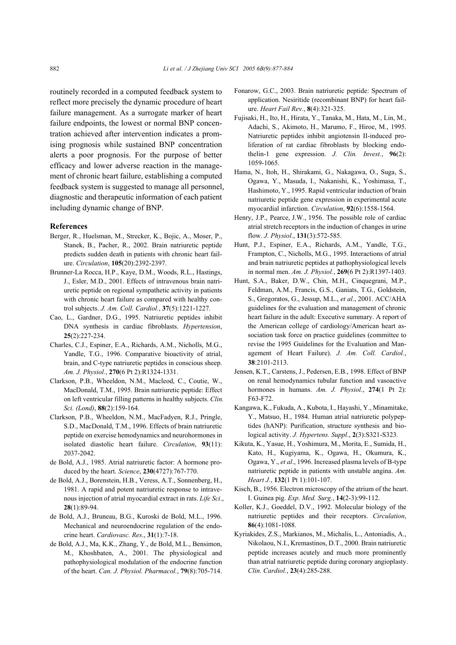routinely recorded in a computed feedback system to reflect more precisely the dynamic procedure of heart failure management. As a surrogate marker of heart failure endpoints, the lowest or normal BNP concentration achieved after intervention indicates a promising prognosis while sustained BNP concentration alerts a poor prognosis. For the purpose of better efficacy and lower adverse reaction in the management of chronic heart failure, establishing a computed feedback system is suggested to manage all personnel, diagnostic and therapeutic information of each patient including dynamic change of BNP.

#### **References**

- Berger, R., Huelsman, M., Strecker, K., Bojic, A., Moser, P., Stanek, B., Pacher, R., 2002. Brain natriuretic peptide predicts sudden death in patients with chronic heart failure. *Circulation*, **105**(20):2392-2397.
- Brunner-La Rocca, H.P., Kaye, D.M., Woods, R.L., Hastings, J., Esler, M.D., 2001. Effects of intravenous brain natriuretic peptide on regional sympathetic activity in patients with chronic heart failure as compared with healthy control subjects. *J. Am. Coll. Cardiol.*, **37**(5):1221-1227.
- Cao, L., Gardner, D.G., 1995. Natriuretic peptides inhibit DNA synthesis in cardiac fibroblasts. *Hypertension*, **25**(2):227-234.
- Charles, C.J., Espiner, E.A., Richards, A.M., Nicholls, M.G., Yandle, T.G., 1996. Comparative bioactivity of atrial, brain, and C-type natriuretic peptides in conscious sheep. *Am. J. Physiol.*, **270**(6 Pt 2):R1324-1331.
- Clarkson, P.B., Wheeldon, N.M., Macleod, C., Coutie, W., MacDonald, T.M., 1995. Brain natriuretic peptide: Effect on left ventricular filling patterns in healthy subjects. *Clin. Sci. (Lond)*, **88**(2):159-164.
- Clarkson, P.B., Wheeldon, N.M., MacFadyen, R.J., Pringle, S.D., MacDonald, T.M., 1996. Effects of brain natriuretic peptide on exercise hemodynamics and neurohormones in isolated diastolic heart failure. *Circulation*, **93**(11): 2037-2042.
- de Bold, A.J., 1985. Atrial natriuretic factor: A hormone produced by the heart. *Science*, **230**(4727):767-770.
- de Bold, A.J., Borenstein, H.B., Veress, A.T., Sonnenberg, H., 1981. A rapid and potent natriuretic response to intravenous injection of atrial myocardial extract in rats. *Life Sci*., **28**(1):89-94.
- de Bold, A.J., Bruneau, B.G., Kuroski de Bold, M.L., 1996. Mechanical and neuroendocrine regulation of the endocrine heart. *Cardiovasc. Res*., **31**(1):7-18.
- de Bold, A.J., Ma, K.K., Zhang, Y., de Bold, M.L., Bensimon, M., Khoshbaten, A., 2001. The physiological and pathophysiological modulation of the endocrine function of the heart. *Can. J. Physiol. Pharmacol.*, **79**(8):705-714.
- Fonarow, G.C., 2003. Brain natriuretic peptide: Spectrum of application. Nesiritide (recombinant BNP) for heart failure. *Heart Fail Rev.*, **8**(4):321-325.
- Fujisaki, H., Ito, H., Hirata, Y., Tanaka, M., Hata, M., Lin, M., Adachi, S., Akimoto, H., Marumo, F., Hiroe, M., 1995. Natriuretic peptides inhibit angiotensin II-induced proliferation of rat cardiac fibroblasts by blocking endothelin-1 gene expression. *J. Clin. Invest.*, **96**(2): 1059-1065.
- Hama, N., Itoh, H., Shirakami, G., Nakagawa, O., Suga, S., Ogawa, Y., Masuda, I., Nakanishi, K., Yoshimasa, T., Hashimoto, Y., 1995. Rapid ventricular induction of brain natriuretic peptide gene expression in experimental acute myocardial infarction. *Circulation*, **92**(6):1558-1564.
- Henry, J.P., Pearce, J.W., 1956. The possible role of cardiac atrial stretch receptors in the induction of changes in urine flow. *J. Physiol*., **131**(3):572-585.
- Hunt, P.J., Espiner, E.A., Richards, A.M., Yandle, T.G., Frampton, C., Nicholls, M.G., 1995. Interactions of atrial and brain natriuretic peptides at pathophysiological levels in normal men. *Am. J. Physiol.*, **269**(6 Pt 2):R1397-1403.
- Hunt, S.A., Baker, D.W., Chin, M.H., Cinquegrani, M.P., Feldman, A.M., Francis, G.S., Ganiats, T.G., Goldstein, S., Gregoratos, G., Jessup, M.L., *et al*., 2001. ACC/AHA guidelines for the evaluation and management of chronic heart failure in the adult: Executive summary. A report of the American college of cardiology/American heart association task force on practice guidelines (committee to revise the 1995 Guidelines for the Evaluation and Management of Heart Failure). *J. Am. Coll. Cardiol.*, **38**:2101-2113.
- Jensen, K.T., Carstens, J., Pedersen, E.B., 1998. Effect of BNP on renal hemodynamics tubular function and vasoactive hormones in humans. *Am. J. Physiol.*, **274**(1 Pt 2): F63-F72.
- Kangawa, K., Fukuda, A., Kubota, I., Hayashi, Y., Minamitake, Y., Matsuo, H., 1984. Human atrial natriuretic polypeptides (hANP): Purification, structure synthesis and biological activity. *J. Hypertens. Suppl*., **2**(3):S321-S323.
- Kikuta, K., Yasue, H., Yoshimura, M., Morita, E., Sumida, H., Kato, H., Kugiyama, K., Ogawa, H., Okumura, K., Ogawa, Y., *et al*., 1996. Increased plasma levels of B-type natriuretic peptide in patients with unstable angina. *Am. Heart J.*, **132**(1 Pt 1):101-107.
- Kisch, B., 1956. Electron microscopy of the atrium of the heart. I. Guinea pig. *Exp. Med. Surg.*, **14**(2-3):99-112.
- Koller, K.J., Goeddel, D.V., 1992. Molecular biology of the natriuretic peptides and their receptors. *Circulation*, **86**(4):1081-1088.
- Kyriakides, Z.S., Markianos, M., Michalis, L., Antoniadis, A., Nikolaou, N.I., Kremastinos, D.T., 2000. Brain natriuretic peptide increases acutely and much more prominently than atrial natriuretic peptide during coronary angioplasty. *Clin. Cardiol.*, **23**(4):285-288.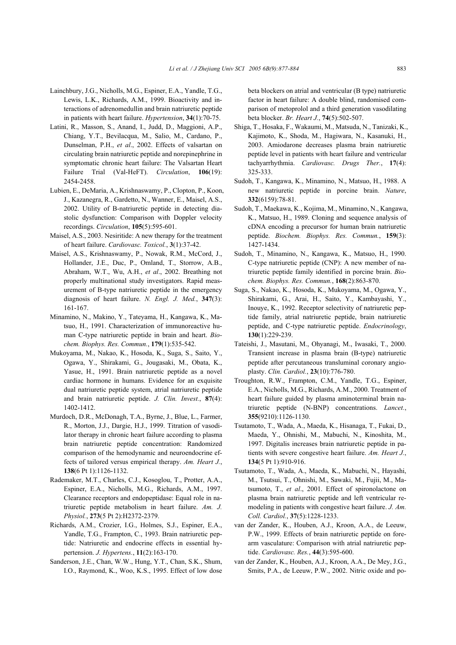- Lainchbury, J.G., Nicholls, M.G., Espiner, E.A., Yandle, T.G., Lewis, L.K., Richards, A.M., 1999. Bioactivity and interactions of adrenomedullin and brain natriuretic peptide in patients with heart failure. *Hypertension*, **34**(1):70-75.
- Latini, R., Masson, S., Anand, I., Judd, D., Maggioni, A.P., Chiang, Y.T., Bevilacqua, M., Salio, M., Cardano, P., Dunselman, P.H., *et al*., 2002. Effects of valsartan on circulating brain natriuretic peptide and norepinephrine in symptomatic chronic heart failure: The Valsartan Heart Failure Trial (Val-HeFT). *Circulation*, **106**(19): 2454-2458.
- Lubien, E., DeMaria, A., Krishnaswamy, P., Clopton, P., Koon, J., Kazanegra, R., Gardetto, N., Wanner, E., Maisel, A.S., 2002. Utility of B-natriuretic peptide in detecting diastolic dysfunction: Comparison with Doppler velocity recordings. *Circulation*, **105**(5):595-601.
- Maisel, A.S., 2003. Nesiritide: A new therapy for the treatment of heart failure. *Cardiovasc. Toxicol.*, **3**(1):37-42.
- Maisel, A.S., Krishnaswamy, P., Nowak, R.M., McCord, J., Hollander, J.E., Duc, P., Omland, T., Storrow, A.B., Abraham, W.T., Wu, A.H., *et al*., 2002. Breathing not properly multinational study investigators. Rapid measurement of B-type natriuretic peptide in the emergency diagnosis of heart failure. *N. Engl. J. Med.*, **347**(3): 161-167.
- Minamino, N., Makino, Y., Tateyama, H., Kangawa, K., Matsuo, H., 1991. Characterization of immunoreactive human C-type natriuretic peptide in brain and heart. *Biochem. Biophys. Res. Commun.*, **179**(1):535-542.
- Mukoyama, M., Nakao, K., Hosoda, K., Suga, S., Saito, Y., Ogawa, Y., Shirakami, G., Jougasaki, M., Obata, K., Yasue, H., 1991. Brain natriuretic peptide as a novel cardiac hormone in humans. Evidence for an exquisite dual natriuretic peptide system, atrial natriuretic peptide and brain natriuretic peptide. *J. Clin. Invest.*, **87**(4): 1402-1412.
- Murdoch, D.R., McDonagh, T.A., Byrne, J., Blue, L., Farmer, R., Morton, J.J., Dargie, H.J., 1999. Titration of vasodilator therapy in chronic heart failure according to plasma brain natriuretic peptide concentration: Randomized comparison of the hemodynamic and neuroendocrine effects of tailored versus empirical therapy. *Am. Heart J.*, **138**(6 Pt 1):1126-1132.
- Rademaker, M.T., Charles, C.J., Kosoglou, T., Protter, A.A., Espiner, E.A., Nicholls, M.G., Richards, A.M., 1997. Clearance receptors and endopeptidase: Equal role in natriuretic peptide metabolism in heart failure. *Am. J. Physiol.*, **273**(5 Pt 2):H2372-2379.
- Richards, A.M., Crozier, I.G., Holmes, S.J., Espiner, E.A., Yandle, T.G., Frampton, C., 1993. Brain natriuretic peptide: Natriuretic and endocrine effects in essential hypertension. *J. Hypertens.*, **11**(2):163-170.
- Sanderson, J.E., Chan, W.W., Hung, Y.T., Chan, S.K., Shum, I.O., Raymond, K., Woo, K.S., 1995. Effect of low dose

beta blockers on atrial and ventricular (B type) natriuretic factor in heart failure: A double blind, randomised comparison of metoprolol and a third generation vasodilating beta blocker. *Br. Heart J.*, **74**(5):502-507.

- Shiga, T., Hosaka, F., Wakaumi, M., Matsuda, N., Tanizaki, K., Kajimoto, K., Shoda, M., Hagiwara, N., Kasanuki, H., 2003. Amiodarone decreases plasma brain natriuretic peptide level in patients with heart failure and ventricular tachyarrhythmia. *Cardiovasc. Drugs Ther.*, **17**(4): 325-333.
- Sudoh, T., Kangawa, K., Minamino, N., Matsuo, H., 1988. A new natriuretic peptide in porcine brain. *Nature*, **332**(6159):78-81.
- Sudoh, T., Maekawa, K., Kojima, M., Minamino, N., Kangawa, K., Matsuo, H., 1989. Cloning and sequence analysis of cDNA encoding a precursor for human brain natriuretic peptide. *Biochem. Biophys. Res. Commun.*, **159**(3): 1427-1434.
- Sudoh, T., Minamino, N., Kangawa, K., Matsuo, H., 1990. C-type natriuretic peptide (CNP): A new member of natriuretic peptide family identified in porcine brain. *Biochem. Biophys. Res. Commun.*, **168**(2):863-870.
- Suga, S., Nakao, K., Hosoda, K., Mukoyama, M., Ogawa, Y., Shirakami, G., Arai, H., Saito, Y., Kambayashi, Y., Inouye, K., 1992. Receptor selectivity of natriuretic peptide family, atrial natriuretic peptide, brain natriuretic peptide, and C-type natriuretic peptide. *Endocrinology*, **130**(1):229-239.
- Tateishi, J., Masutani, M., Ohyanagi, M., Iwasaki, T., 2000. Transient increase in plasma brain (B-type) natriuretic peptide after percutaneous transluminal coronary angioplasty. *Clin. Cardiol.*, **23**(10):776-780.
- Troughton, R.W., Frampton, C.M., Yandle, T.G., Espiner, E.A., Nicholls, M.G., Richards, A.M., 2000. Treatment of heart failure guided by plasma aminoterminal brain natriuretic peptide (N-BNP) concentrations. *Lancet.*, **355**(9210):1126-1130.
- Tsutamoto, T., Wada, A., Maeda, K., Hisanaga, T., Fukai, D., Maeda, Y., Ohnishi, M., Mabuchi, N., Kinoshita, M., 1997. Digitalis increases brain natriuretic peptide in patients with severe congestive heart failure. *Am. Heart J.*, **134**(5 Pt 1):910-916.
- Tsutamoto, T., Wada, A., Maeda, K., Mabuchi, N., Hayashi, M., Tsutsui, T., Ohnishi, M., Sawaki, M., Fujii, M., Matsumoto, T., *et al*., 2001. Effect of spironolactone on plasma brain natriuretic peptide and left ventricular remodeling in patients with congestive heart failure. *J. Am. Coll. Cardiol.*, **37**(5):1228-1233.
- van der Zander, K., Houben, A.J., Kroon, A.A., de Leeuw, P.W., 1999. Effects of brain natriuretic peptide on forearm vasculature: Comparison with atrial natriuretic peptide. *Cardiovasc. Res.*, **44**(3):595-600.
- van der Zander, K., Houben, A.J., Kroon, A.A., De Mey, J.G., Smits, P.A., de Leeuw, P.W., 2002. Nitric oxide and po-